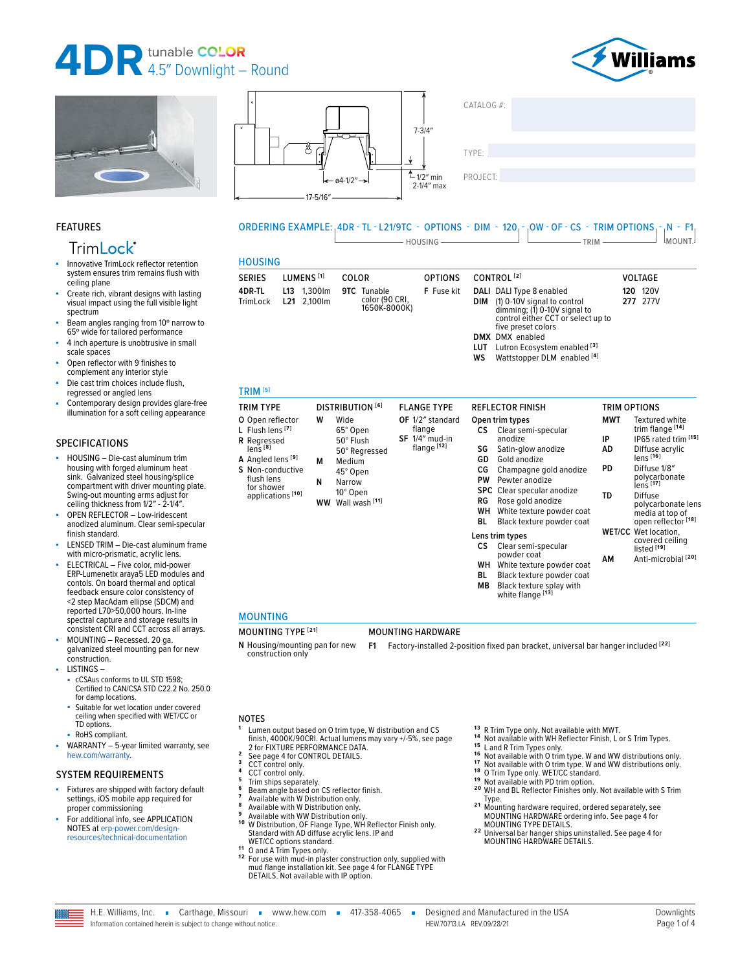









PROJECT:

#### FEATURES

## **TrimLock®**

- Innovative TrimLock reflector retention system ensures trim remains flush with ceiling plane
- Create rich, vibrant designs with lasting visual impact using the full visible light spectrum
- Beam angles ranging from 10° narrow to 65º wide for tailored performance
- 4 inch aperture is unobtrusive in small scale spaces
- Open reflector with 9 finishes to complement any interior style
- Die cast trim choices include flush, regressed or angled lens
- Contemporary design provides glare-free illumination for a soft ceiling appearance

#### SPECIFICATIONS

- HOUSING Die-cast aluminum trim housing with forged aluminum heat sink. Galvanized steel housing/splice compartment with driver mounting plate. Swing-out mounting arms adjust for ceiling thickness from 1/2" - 2-1/4".
- OPEN REFLECTOR Low-iridescent anodized aluminum. Clear semi-specular finish standard.
- LENSED TRIM Die-cast aluminum frame with micro-prismatic, acrylic lens.
- ELECTRICAL Five color, mid-power ERP-Lumenetix araya5 LED modules and contols. On board thermal and optical feedback ensure color consistency of <2 step MacAdam ellipse (SDCM) and reported L70>50,000 hours. In-line spectral capture and storage results in consistent CRI and CCT across all arrays.
- MOUNTING Recessed. 20 ga. galvanized steel mounting pan for new construction. LISTINGS –
- cCSAus conforms to UL STD 1598; Certified to CAN/CSA STD C22.2 No. 250.0 for damp locations.
- Suitable for wet location under covered ceiling when specified with WET/CC or TD options.
- RoHS compliant.
- $WARRANTY 5-year limited warranty, see$ [hew.com/warranty.](https://www.hew.com/resources/warranty-and-terms)

#### SYSTEM REQUIREMENTS

- Fixtures are shipped with factory default settings, iOS mobile app required for proper commissioning
- For additional info, see APPLICATION NOTES at [erp-power.com/design](https://www.erp-power.com/design-resources/technical-documentation/)[resources/technical-documentation](https://www.erp-power.com/design-resources/technical-documentation/)

#### ORDERING EXAMPLE: 4DR - TL - L21/9TC - OPTIONS - DIM - 120 - OW - OF - CS - TRIM OPTIONS - N - F1  $\Box$  HOUSING  $\Box$  TRIM  $\Box$  TRIM  $\Box$  MOUNT.

### **HOUSING**

| .                                                                                                                                                                                                            |                       |             |                                                                                                                 |                                |                                                                        |                                                     |                                                                                                                                                                                                                                                                        |                                           |                                                                                                                                                                                                                                                                                 |
|--------------------------------------------------------------------------------------------------------------------------------------------------------------------------------------------------------------|-----------------------|-------------|-----------------------------------------------------------------------------------------------------------------|--------------------------------|------------------------------------------------------------------------|-----------------------------------------------------|------------------------------------------------------------------------------------------------------------------------------------------------------------------------------------------------------------------------------------------------------------------------|-------------------------------------------|---------------------------------------------------------------------------------------------------------------------------------------------------------------------------------------------------------------------------------------------------------------------------------|
| SERIES                                                                                                                                                                                                       | LUMENS <sup>[1]</sup> |             | COLOR                                                                                                           |                                | <b>OPTIONS</b>                                                         |                                                     | CONTROL <sup>[2]</sup>                                                                                                                                                                                                                                                 |                                           | VOLTAGE                                                                                                                                                                                                                                                                         |
| 4DR-TL<br>TrimLock                                                                                                                                                                                           | L13<br>L21 2.100lm    | 1.300lm     | <b>9TC</b> Tunable                                                                                              | color (90 CRI,<br>1650K-8000K) | F Fuse kit                                                             | DIM<br>WS                                           | DALI DALI Type 8 enabled<br>(1) 0-10V signal to control<br>dimming; (1) 0-10V signal to<br>control either CCT or select up to<br>five preset colors<br><b>DMX</b> DMX enabled<br>LUT Lutron Ecosystem enabled <sup>[3]</sup><br>Wattstopper DLM enabled <sup>[4]</sup> |                                           | 120 120V<br>277 277V                                                                                                                                                                                                                                                            |
| TRIM <sup>[5]</sup>                                                                                                                                                                                          |                       |             |                                                                                                                 |                                |                                                                        |                                                     |                                                                                                                                                                                                                                                                        |                                           |                                                                                                                                                                                                                                                                                 |
| TRIM TYPE                                                                                                                                                                                                    |                       |             | <b>DISTRIBUTION [6]</b>                                                                                         |                                | <b>FLANGE TYPE</b>                                                     |                                                     | <b>REFLECTOR FINISH</b>                                                                                                                                                                                                                                                | TRIM OPTIONS                              |                                                                                                                                                                                                                                                                                 |
| O Open reflector<br>L Flush lens <sup>[7]</sup><br>R Regressed<br>lenS <sup>[8]</sup><br><b>A</b> Angled lens <sup>[9]</sup><br>S Non-conductive<br>flush lens<br>for shower<br>applications <sup>[10]</sup> |                       | W<br>м<br>N | Wide<br>65° Open<br>50° Flush<br>50° Regressed<br>Medium<br>45° Open<br>Narrow<br>10° Open<br>WW Wall wash [11] |                                | OF 1/2" standard<br>flange<br>SF 1/4" mud-in<br>flange <sup>[12]</sup> | <b>CS</b><br>SG<br>GD<br>СG<br>PW<br>RG<br>WН<br>BL | Open trim types<br>Clear semi-specular<br>anodize<br>Satin-glow anodize<br>Gold anodize<br>Champagne gold anodize<br>Pewter anodize<br>SPC Clear specular anodize<br>Rose gold anodize<br>White texture powder coat<br>Black texture powder coat                       | <b>MWT</b><br>IP<br>AD<br><b>PD</b><br>TD | <b>Textured white</b><br>trim flange [14]<br>IP65 rated trim [15]<br>Diffuse acrylic<br>lens [16]<br>Diffuse 1/8"<br>polycarbonate<br>lens <sup>[17]</sup><br>Diffuse<br>polycarbonate lens<br>media at top of<br>open reflector <sup>[18]</sup><br><b>WET/CC</b> Wet location. |
|                                                                                                                                                                                                              |                       |             |                                                                                                                 |                                |                                                                        | CS .<br>WH<br>BL<br><b>MB</b>                       | Lens trim types<br>Clear semi-specular<br>powder coat<br>White texture powder coat<br>Black texture powder coat<br>Black texture splay with<br>white flange [13]                                                                                                       | AM                                        | covered ceiling<br>listed <sup>[19]</sup><br>Anti-microbial <sup>[20]</sup>                                                                                                                                                                                                     |

#### MOUNTING

#### MOUNTING TYPE **[21]** MOUNTING HARDWARE

**N** Housing/mounting pan for new construction only

**F1** Factory-installed 2-position fixed pan bracket, universal bar hanger included **[22]**

#### NOTES

- **<sup>1</sup>** Lumen output based on O trim type, W distribution and CS finish, 4000K/90CRI. Actual lumens may vary +/-5%, [see page](#page-1-0)
- 
- 
- 
- 
- [2 for FIXTURE PERFORMANCE DATA.](#page-1-0)<br>
2 [See page 4 for CONTROL DETAILS.](#page-3-0)<br>
3 CCT control only.<br>
4 CCT control only.<br>
5 Trim ships separately.<br>
6 Beam angle based on CS reflector finish.<br>
7 Available with W Distribution only.<br>
8 A
- 
- 
- Nu Distribution, OF Flange Type, WH Reflector Finish only.<br>Standard with AD diffuse acrylic lens. IP and<br>WET/CC options standard.
- 
- 11 WET/CC options standard.<br>11 O and A Trim Types only.<br>12 For use with mud-in plaster construction only, supplied with<br>12 mud flange installation kit. See page 4 for FLANGE TYPE<br>DETAILS. Not available with IP option.
- 
- <sup>13</sup> R Trim Type only. Not available with MWT.<br><sup>14</sup> Not available with WH Reflector Finish, L or S Trim Types.<br><sup>15</sup> L and R Trim Types only.<br><sup>15</sup> Not available with O trim type. W and WW distributions only.<br><sup>17</sup> Not avail
- 
- 
- 
- 
- Type.<br>**21** Mounting hardware required, ordered separately, see
- MOUNTING HARDWARE ordering info. [See page 4 for](#page-3-1)
- [MOUNTING TYPE DETAILS.](#page-3-1) **2 2** Universal bar hanger ships uninstalled. [See page 4 for](#page-3-2)  [MOUNTING HARDWARE DETAILS.](#page-3-2)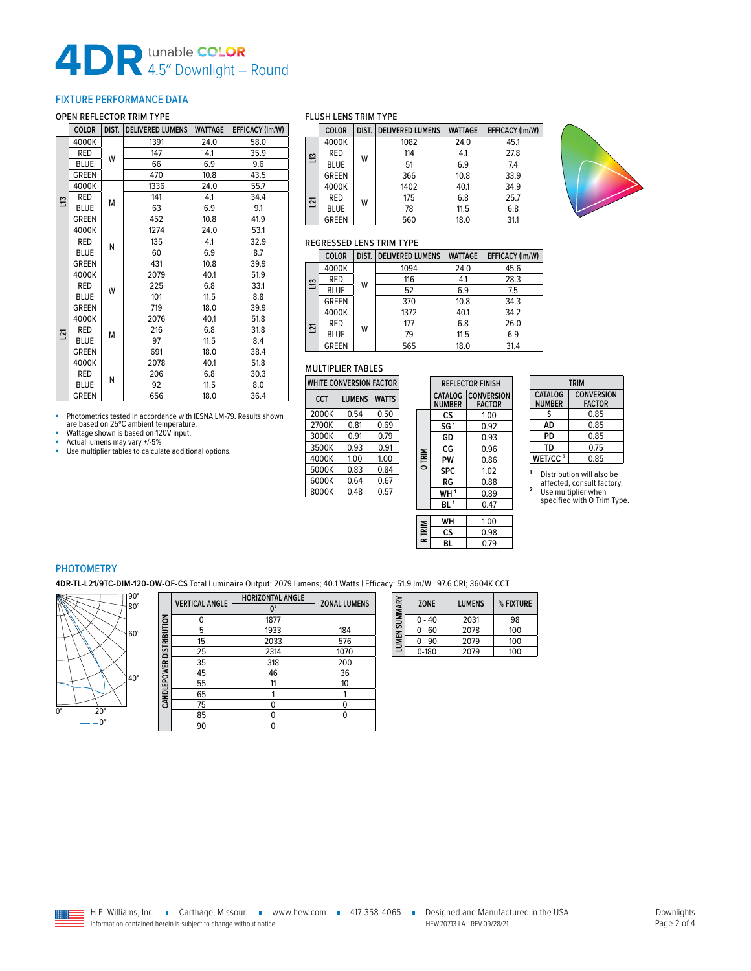# **4DR** 4.5″ Downlight – Round

### <span id="page-1-0"></span>FIXTURE PERFORMANCE DATA

#### OPEN REFLECTOR TRIM TYPE

|    | <b>COLOR</b> | DIST. | <b>DELIVERED LUMENS</b> | <b>WATTAGE</b> | EFFICACY (Im/W) |
|----|--------------|-------|-------------------------|----------------|-----------------|
|    | 4000K        |       | 1391                    | 24.0           | 58.0            |
|    | RED          | W     | 147                     | 4.1            | 35.9            |
|    | <b>BLUE</b>  |       | 66                      | 6.9            | 9.6             |
|    | <b>GREEN</b> |       | 470                     | 10.8           | 43.5            |
|    | 4000K        |       | 1336                    | 24.0           | 55.7            |
| S  | RED          | M     | 141                     | 4.1            | 34.4            |
|    | <b>BLUE</b>  |       | 63                      | 6.9            | 9.1             |
|    | <b>GREEN</b> |       | 452                     | 10.8           | 41.9            |
|    | 4000K        |       | 1274                    | 24.0           | 53.1            |
|    | RED          | N     | 135                     | 4.1            | 32.9            |
|    | <b>BLUE</b>  |       | 60                      | 6.9            | 8.7             |
|    | <b>GREEN</b> |       | 431                     | 10.8           | 39.9            |
|    | 4000K        |       | 2079                    | 40.1           | 51.9            |
|    | <b>RED</b>   | W     | 225                     | 6.8            | 33.1            |
|    | <b>BLUE</b>  |       | 101                     | 11.5           | 8.8             |
|    | <b>GREEN</b> |       | 719                     | 18.0           | 39.9            |
|    | 4000K        |       | 2076                    | 40.1           | 51.8            |
| 51 | <b>RED</b>   | M     | 216                     | 6.8            | 31.8            |
|    | <b>BLUE</b>  |       | 97                      | 11.5           | 8.4             |
|    | <b>GREEN</b> |       | 691                     | 18.0           | 38.4            |
|    | 4000K        |       | 2078                    | 40.1           | 51.8            |
|    | RED          | N     | 206                     | 6.8            | 30.3            |
|    | <b>BLUE</b>  |       | 92                      | 11.5           | 8.0             |
|    | <b>GREEN</b> |       | 656                     | 18.0           | 36.4            |

■ Photometrics tested in accordance with IESNA LM-79. Results shown are based on 25ºC ambient temperature.

 $\Box$ 

**Wattage shown is based on 120V input.**<br>Actual lumons may yany +/-5% ■ Actual lumens may vary +/-5%<br>■ Use multiplier tables to calculate additional options.

#### FLUSH LENS TRIM TYPE

|    | <b>COLOR</b> | DIST. | <b>DELIVERED LUMENS</b> | <b>WATTAGE</b> | EFFICACY (Im/W) |
|----|--------------|-------|-------------------------|----------------|-----------------|
|    | 4000K        |       | 1082                    | 24.0           | 45.1            |
| E. | <b>RED</b>   | W     | 114                     | 4.1            | 27.8            |
|    | <b>BLUE</b>  |       | 51                      | 6.9            | 7.4             |
|    | <b>GREEN</b> |       | 366                     | 10.8           | 33.9            |
|    | 4000K        |       | 1402                    | 40.1           | 34.9            |
| 21 | <b>RED</b>   | W     | 175                     | 6.8            | 25.7            |
|    | <b>BLUE</b>  |       | 78                      | 11.5           | 6.8             |
|    | <b>GREEN</b> |       | 560                     | 18.0           | 31.1            |



#### REGRESSED LENS TRIM TYPE

|   | <b>COLOR</b> | DIST. | <b>DELIVERED LUMENS</b> | <b>WATTAGE</b> | EFFICACY (Im/W) |  |  |  |  |
|---|--------------|-------|-------------------------|----------------|-----------------|--|--|--|--|
|   | 4000K        |       | 1094                    | 24.0           | 45.6            |  |  |  |  |
| ≌ | <b>RED</b>   | W     | 116                     | 4.1            | 28.3            |  |  |  |  |
|   | <b>BLUE</b>  |       | 52                      | 6.9            | 7.5             |  |  |  |  |
|   | <b>GREEN</b> |       | 370                     | 10.8           | 34.3            |  |  |  |  |
|   | 4000K        |       | 1372                    | 40.1           | 34.2            |  |  |  |  |
| ম | RED          | W     | 177                     | 6.8            | 26.0            |  |  |  |  |
|   | <b>BLUE</b>  |       | 79                      | 11.5           | 6.9             |  |  |  |  |
|   | <b>GREEN</b> |       | 565                     | 18.0           | 31.4            |  |  |  |  |

**R TRIM**

#### MULTIPLIER TABLES

| WHITE CONVERSION FACTOR |               |              |  |  |  |  |  |
|-------------------------|---------------|--------------|--|--|--|--|--|
| CCT                     | <b>LUMENS</b> | <b>WATTS</b> |  |  |  |  |  |
| 2000K                   | 0.54          | 0.50         |  |  |  |  |  |
| 2700K                   | 0.81          | 0.69         |  |  |  |  |  |
| 3000K                   | በ 91          | 0.79         |  |  |  |  |  |
| 3500K                   | 0.93          | 0.91         |  |  |  |  |  |
| 4000K                   | 1.00          | 1.00         |  |  |  |  |  |
| 5000K                   | 0.83          | 0.84         |  |  |  |  |  |
| 6000K                   | 0.64          | 0.67         |  |  |  |  |  |
| 8000K                   | 0.48          | 0.57         |  |  |  |  |  |

|  |               |                                 | <b>REFLECTOR FINISH</b>            |  |  |
|--|---------------|---------------------------------|------------------------------------|--|--|
|  |               | <b>CATALOG</b><br><b>NUMBER</b> | <b>CONVERSION</b><br><b>FACTOR</b> |  |  |
|  |               | CS                              | 1.00                               |  |  |
|  |               | SG <sup>1</sup>                 | 0.92                               |  |  |
|  |               | GD                              | 0.93                               |  |  |
|  |               | CG                              | 0.96                               |  |  |
|  | <b>O TRIM</b> | PW                              | 0.86                               |  |  |
|  |               | <b>SPC</b>                      | 1.02                               |  |  |
|  |               | RG                              | 0.88                               |  |  |
|  |               | WH <sup>1</sup>                 | 0.89                               |  |  |
|  |               | BL <sup>1</sup>                 | 0.47                               |  |  |
|  |               |                                 |                                    |  |  |
|  |               | WH                              | 1.00                               |  |  |
|  |               | cs                              | 0.98                               |  |  |

| <b>TRIM</b>              |                                    |  |  |  |  |  |  |
|--------------------------|------------------------------------|--|--|--|--|--|--|
| CATALOG<br><b>NUMBER</b> | <b>CONVERSION</b><br><b>FACTOR</b> |  |  |  |  |  |  |
| S                        | 0.85                               |  |  |  |  |  |  |
| AD                       | 0.85                               |  |  |  |  |  |  |
| PD                       | 0.85                               |  |  |  |  |  |  |
| TD                       | 0.75                               |  |  |  |  |  |  |
| WET/CC <sup>2</sup>      | 0.85                               |  |  |  |  |  |  |

**<sup>1</sup>** Distribution will also be affected, consult factory. **<sup>2</sup>** Use multiplier when specified with O Trim Type.

#### PHOTOMETRY

**4DR-TL-L21/9TC-DIM-120-OW-OF-CS** Total Luminaire Output: 2079 lumens; 40.1 Watts | Efficacy: 51.9 lm/W | 97.6 CRI; 3604K CCT



|                          | <b>VERTICAL ANGLE</b> | <b>HORIZONTAL ANGLE</b> | <b>ZONAL LUMENS</b> |  |  |
|--------------------------|-----------------------|-------------------------|---------------------|--|--|
|                          |                       | U.                      |                     |  |  |
|                          | ი                     | 1877                    |                     |  |  |
|                          | 5                     | 1933                    | 184                 |  |  |
|                          | 15                    | 2033                    | 576                 |  |  |
|                          | 25                    | 2314                    | 1070                |  |  |
| CANDLEPOWER DISTRIBUTION | 35                    | 318                     | 200                 |  |  |
|                          | 45                    | 46                      | 36                  |  |  |
|                          | 55                    | 11                      | 10                  |  |  |
|                          | 65                    |                         |                     |  |  |
|                          | 75                    | n                       | ŋ                   |  |  |
|                          | 85                    |                         |                     |  |  |
|                          | 90                    |                         |                     |  |  |

| LUMEN SUMMARY | <b>ZONE</b> | <b>LUMENS</b> | % FIXTURE |  |  |
|---------------|-------------|---------------|-----------|--|--|
|               | $0 - 40$    | 2031          | 98        |  |  |
|               | $0 - 60$    | 2078          | 100       |  |  |
|               | 0 - 90      | 2079          | 100       |  |  |
|               | $0 - 180$   | 2079          | 100       |  |  |

**BL** 0.79

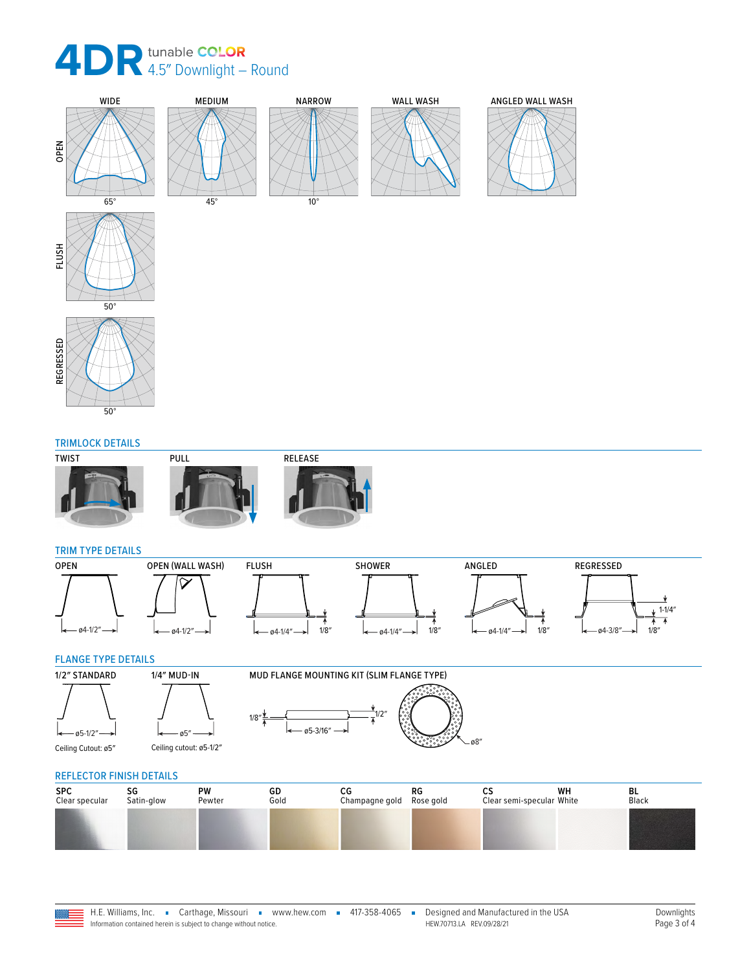





REGRESSED

REGRESSED

#### TRIMLOCK DETAILS







#### TRIM TYPE DETAILS



#### FLANGE TYPE DETAILS





## REFLECTOR FINISH DETAILS

| <b>SPC</b><br>Clear specular | Satin-glow | PW<br>Pewter | GD<br>Gold | СG<br>Champagne gold | RG<br>Rose gold | υJ<br>Clear semi-specular White | WH | BL<br>Black |  |
|------------------------------|------------|--------------|------------|----------------------|-----------------|---------------------------------|----|-------------|--|
|                              |            |              |            |                      |                 |                                 |    |             |  |



ø5″ Ceiling cutout: ø5-1/2″